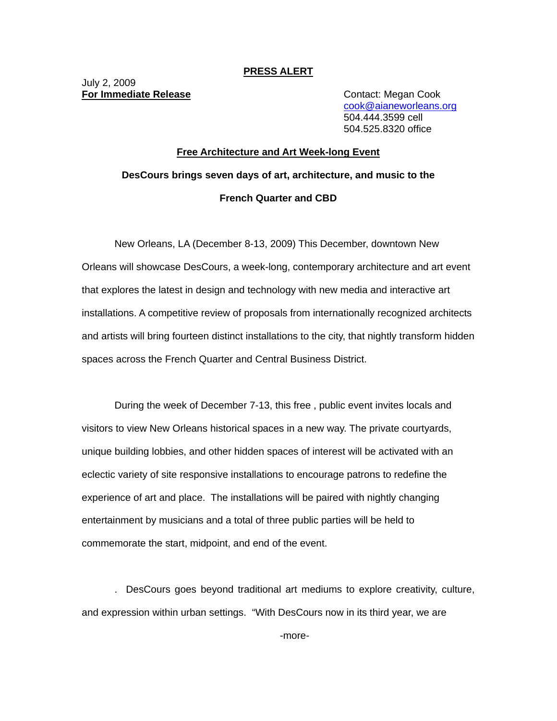## **PRESS ALERT**

July 2, 2009 **For Immediate Release Contact: Megan Cook** 

cook@aianeworleans.org 504.444.3599 cell 504.525.8320 office

## **Free Architecture and Art Week-long Event DesCours brings seven days of art, architecture, and music to the French Quarter and CBD**

New Orleans, LA (December 8-13, 2009) This December, downtown New Orleans will showcase DesCours, a week-long, contemporary architecture and art event that explores the latest in design and technology with new media and interactive art installations. A competitive review of proposals from internationally recognized architects and artists will bring fourteen distinct installations to the city, that nightly transform hidden spaces across the French Quarter and Central Business District.

During the week of December 7-13, this free , public event invites locals and visitors to view New Orleans historical spaces in a new way. The private courtyards, unique building lobbies, and other hidden spaces of interest will be activated with an eclectic variety of site responsive installations to encourage patrons to redefine the experience of art and place. The installations will be paired with nightly changing entertainment by musicians and a total of three public parties will be held to commemorate the start, midpoint, and end of the event.

. DesCours goes beyond traditional art mediums to explore creativity, culture, and expression within urban settings. "With DesCours now in its third year, we are

-more-